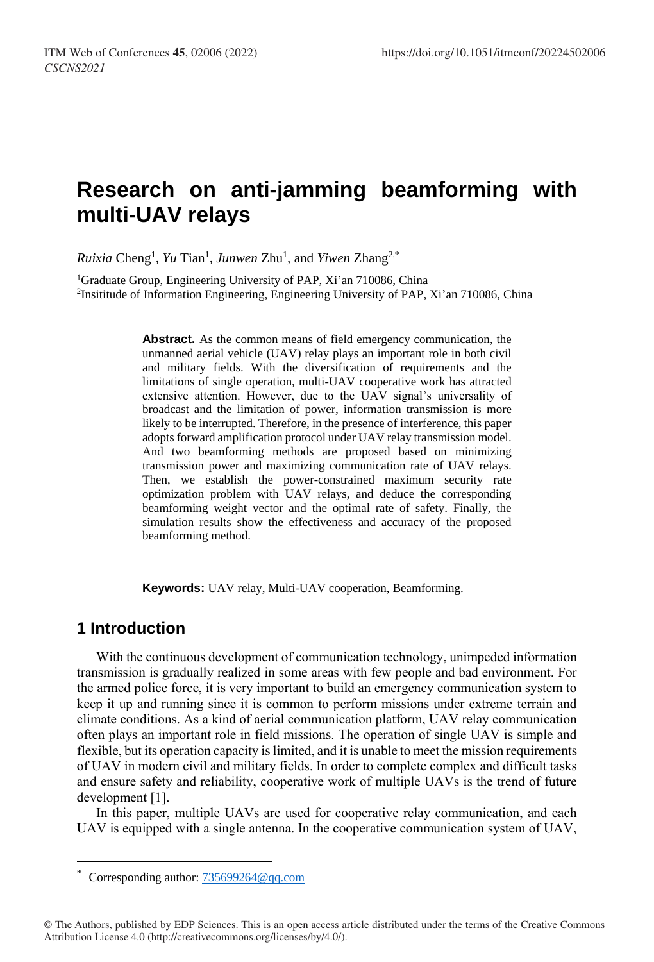# **Research on anti-jamming beamforming with multi-UAV relays**

*Ruixia* Cheng<sup>1</sup> *, Yu* Tian<sup>1</sup> *, Junwen* Zhu<sup>1</sup> *,* and *Yiwen* Zhang2,\*

<sup>1</sup>Graduate Group, Engineering University of PAP, Xi'an 710086, China 2 Insititude of Information Engineering, Engineering University of PAP, Xi'an 710086, China

> **Abstract.** As the common means of field emergency communication, the unmanned aerial vehicle (UAV) relay plays an important role in both civil and military fields. With the diversification of requirements and the limitations of single operation, multi-UAV cooperative work has attracted extensive attention. However, due to the UAV signal's universality of broadcast and the limitation of power, information transmission is more likely to be interrupted. Therefore, in the presence of interference, this paper adopts forward amplification protocol under UAV relay transmission model. And two beamforming methods are proposed based on minimizing transmission power and maximizing communication rate of UAV relays. Then, we establish the power-constrained maximum security rate optimization problem with UAV relays, and deduce the corresponding beamforming weight vector and the optimal rate of safety. Finally, the simulation results show the effectiveness and accuracy of the proposed beamforming method.

**Keywords:** UAV relay, Multi-UAV cooperation, Beamforming.

## **1 Introduction**

 $\overline{a}$ 

With the continuous development of communication technology, unimpeded information transmission is gradually realized in some areas with few people and bad environment. For the armed police force, it is very important to build an emergency communication system to keep it up and running since it is common to perform missions under extreme terrain and climate conditions. As a kind of aerial communication platform, UAV relay communication often plays an important role in field missions. The operation of single UAV is simple and flexible, but its operation capacity is limited, and it is unable to meet the mission requirements of UAV in modern civil and military fields. In order to complete complex and difficult tasks and ensure safety and reliability, cooperative work of multiple UAVs is the trend of future development [1].

In this paper, multiple UAVs are used for cooperative relay communication, and each UAV is equipped with a single antenna. In the cooperative communication system of UAV,

Corresponding author: [735699264@qq.com](mailto:735699264@qq.com)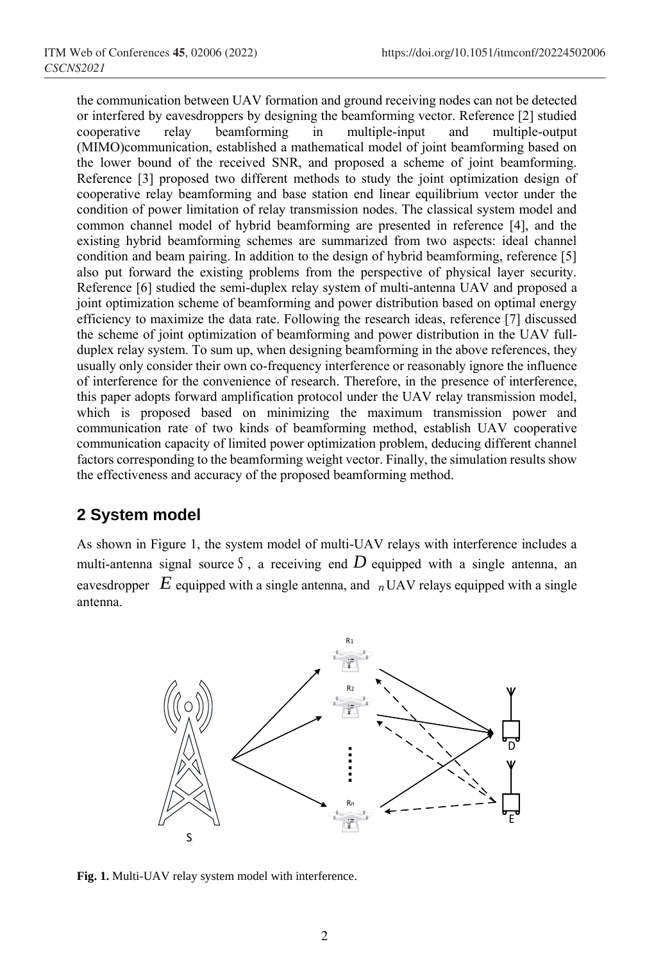the communication between UAV formation and ground receiving nodes can not be detected or interfered by eavesdroppers by designing the beamforming vector. Reference [2] studied cooperative relay beamforming in multiple-input and multiple-output (MIMO)communication, established a mathematical model of joint beamforming based on the lower bound of the received SNR, and proposed a scheme of joint beamforming. Reference [3] proposed two different methods to study the joint optimization design of cooperative relay beamforming and base station end linear equilibrium vector under the condition of power limitation of relay transmission nodes. The classical system model and common channel model of hybrid beamforming are presented in reference [4], and the existing hybrid beamforming schemes are summarized from two aspects: ideal channel condition and beam pairing. In addition to the design of hybrid beamforming, reference [5] also put forward the existing problems from the perspective of physical layer security. Reference [6] studied the semi-duplex relay system of multi-antenna UAV and proposed a joint optimization scheme of beamforming and power distribution based on optimal energy efficiency to maximize the data rate. Following the research ideas, reference [7] discussed the scheme of joint optimization of beamforming and power distribution in the UAV fullduplex relay system. To sum up, when designing beamforming in the above references, they usually only consider their own co-frequency interference or reasonably ignore the influence of interference for the convenience of research. Therefore, in the presence of interference, this paper adopts forward amplification protocol under the UAV relay transmission model, which is proposed based on minimizing the maximum transmission power and communication rate of two kinds of beamforming method, establish UAV cooperative communication capacity of limited power optimization problem, deducing different channel factors corresponding to the beamforming weight vector. Finally, the simulation results show the effectiveness and accuracy of the proposed beamforming method.

# **2 System model**

As shown in Figure 1, the system model of multi-UAV relays with interference includes a multi-antenna signal source  $S$ , a receiving end  $D$  equipped with a single antenna, an eavesdropper  $E$  equipped with a single antenna, and  $n$  UAV relays equipped with a single antenna.



**Fig. 1.** Multi-UAV relay system model with interference.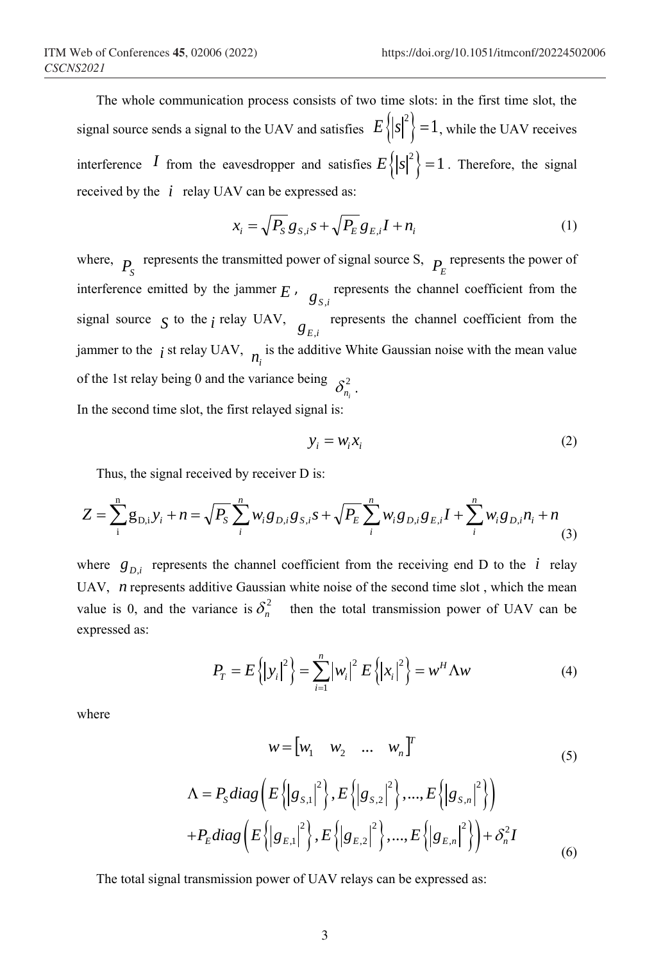The whole communication process consists of two time slots: in the first time slot, the signal source sends a signal to the UAV and satisfies  $E\left\{ |s|^2 \right\} = 1$ , while the UAV receives interference *I* from the eavesdropper and satisfies  $E\left\{ |s|^2 \right\} = 1$ . Therefore, the signal received by the  $i$  relay UAV can be expressed as:

$$
x_i = \sqrt{P_S} g_{S,i} s + \sqrt{P_E} g_{E,i} I + n_i
$$
\n(1)

where,  $P_S$  represents the transmitted power of signal source S,  $P_E$  represents the power of interference emitted by the jammer  $E$ ,  $g_{S,i}$  represents the channel coefficient from the signal source  $\int$  to the *i* relay UAV,  $g_{E,i}$  represents the channel coefficient from the jammer to the  $\,i$  st relay UAV,  $\,n_i$  is the additive White Gaussian noise with the mean value of the 1st relay being 0 and the variance being  $\delta_{n_i}^2$ . *i* In the second time slot, the first relayed signal is:

$$
y_i = w_i x_i \tag{2}
$$

Thus, the signal received by receiver D is:

$$
Z = \sum_{i=1}^{n} g_{D,i} y_i + n = \sqrt{P_S} \sum_{i=1}^{n} w_i g_{D,i} g_{S,i} s + \sqrt{P_E} \sum_{i=1}^{n} w_i g_{D,i} g_{E,i} I + \sum_{i=1}^{n} w_i g_{D,i} n_i + n \tag{3}
$$

where  $g_{D,i}$  represents the channel coefficient from the receiving end D to the *i* relay UAV, *n* represents additive Gaussian white noise of the second time slot, which the mean value is 0, and the variance is  $\delta_n^2$  then the total transmission power of UAV can be expressed as:

$$
P_T = E\left\{ \left| y_i \right|^2 \right\} = \sum_{i=1}^n \left| w_i \right|^2 E\left\{ \left| x_i \right|^2 \right\} = w^H \Lambda w \tag{4}
$$

where

$$
w = \begin{bmatrix} w_1 & w_2 & \dots & w_n \end{bmatrix}^T
$$
 (5)

(5)  
\n
$$
\Lambda = P_{s}diag\left(E\left\{|g_{s,1}|^{2}\right\}, E\left\{|g_{s,2}|^{2}\right\}, ..., E\left\{|g_{s,n}|^{2}\right\}\right)
$$
\n
$$
+ P_{s}diag\left(E\left\{|g_{s,1}|^{2}\right\}, E\left\{|g_{s,2}|^{2}\right\}, ..., E\left\{|g_{s,n}|^{2}\right\}\right) + \delta_{n}^{2}I
$$
\n(6)

The total signal transmission power of UAV relays can be expressed as: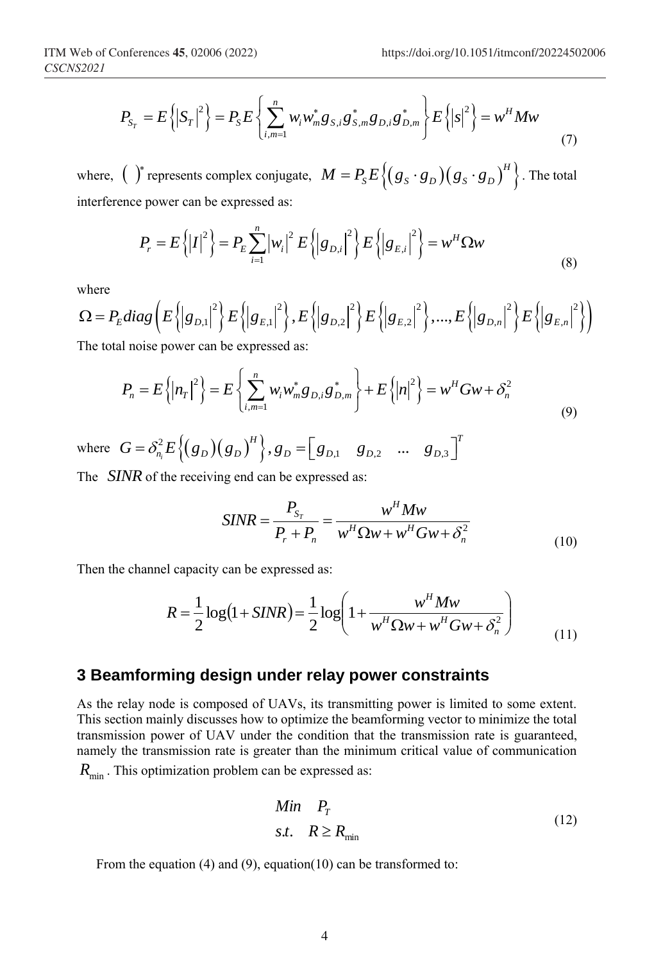Interences **45**, 02006 (2022)

\n**https://doi.org/10.1051/itmoont/2022450**

\n
$$
P_{S_T} = E\left\{ \left| S_T \right|^2 \right\} = P_S E\left\{ \sum_{i,m=1}^n w_i w_m^* g_{S,i} g_{S,m}^* g_{D,i} g_{D,m}^* \right\} E\left\{ \left| S \right|^2 \right\} = w^H M w \tag{7}
$$

where,  $\binom{a}{b}$  represents complex conjugate,  $M = P_s E \left\{ (g_s \cdot g_D)(g_s \cdot g_D)^H \right\}$ . The total interference power can be expressed as:

e power can be expressed as:  
\n
$$
P_r = E\left\{\left|I\right|^2\right\} = P_E \sum_{i=1}^n \left|w_i\right|^2 E\left\{\left|g_{D,i}\right|^2\right\} E\left\{\left|g_{E,i}\right|^2\right\} = w^H \Omega w \tag{8}
$$

where

where  
\n
$$
\Omega = P_E diag\left(E\left\{|g_{D,1}|^2\right\} E\left\{|g_{E,1}|^2\right\}, E\left\{|g_{D,2}|^2\right\} E\left\{|g_{E,2}|^2\right\}, ..., E\left\{|g_{D,n}|^2\right\} E\left\{|g_{E,n}|^2\right\}\right)
$$
\nThe total noise power can be expressed as:

e total noise power can be ex

al noise power can be expressed as:  
\n
$$
P_n = E\left\{\left|n_r\right|^2\right\} = E\left\{\sum_{i,m=1}^n w_i w_m^* g_{D,i} g_{D,m}^*\right\} + E\left\{\left|n\right|^2\right\} = w^H G w + \delta_n^2
$$
\n(9)

where  $G = \delta_{n_i}^2 E \left\{ (g_D)(g_D)^H \right\},\$  $\binom{n,m=1}{i}$  *j*<br>  $\binom{2}{i}$   $\binom{2}{i}$   $\binom{2}{i}$   $\binom{2}{i}$   $\binom{2}{i}$   $\binom{2}{i}$   $\binom{2}{i}$   $\binom{2}{i}$   $\binom{2}{i}$   $\binom{2}{i}$   $\binom{2}{i}$   $\binom{2}{i}$   $\binom{2}{i}$   $\binom{2}{i}$   $\binom{2}{i}$   $\binom{2}{i}$   $\binom{2}{i}$   $\binom{2}{i}$   $\binom{$  $H$  **T T T T**  $G = \delta_n^2 E \{ (g_D)(g_D)^H \}, g_D = [g_{D,1} \quad g_{D,2} \quad \dots \quad g_{D,3} \}^T$ 

The *SINR* of the receiving end can be expressed as:

$$
SINR = \frac{P_{S_r}}{P_r + P_n} = \frac{w^H M w}{w^H \Omega w + w^H G w + \delta_n^2}
$$
\n(10)

Then the channel capacity can be expressed as:

$$
R = \frac{1}{2}\log(1 + SINR) = \frac{1}{2}\log\left(1 + \frac{w^H M w}{w^H \Omega w + w^H G w + \delta_n^2}\right)
$$
(11)

#### **3 Beamforming design under relay power constraints**

As the relay node is composed of UAVs, its transmitting power is limited to some extent. This section mainly discusses how to optimize the beamforming vector to minimize the total transmission power of UAV under the condition that the transmission rate is guaranteed, namely the transmission rate is greater than the minimum critical value of communication  $R_{\text{min}}$ . This optimization problem can be expressed as:

$$
\begin{array}{ll}\nMin & P_T \\
\text{s.t.} & R \ge R_{\text{min}}\n\end{array} \tag{12}
$$

From the equation (4) and (9), equation (10) can be transformed to: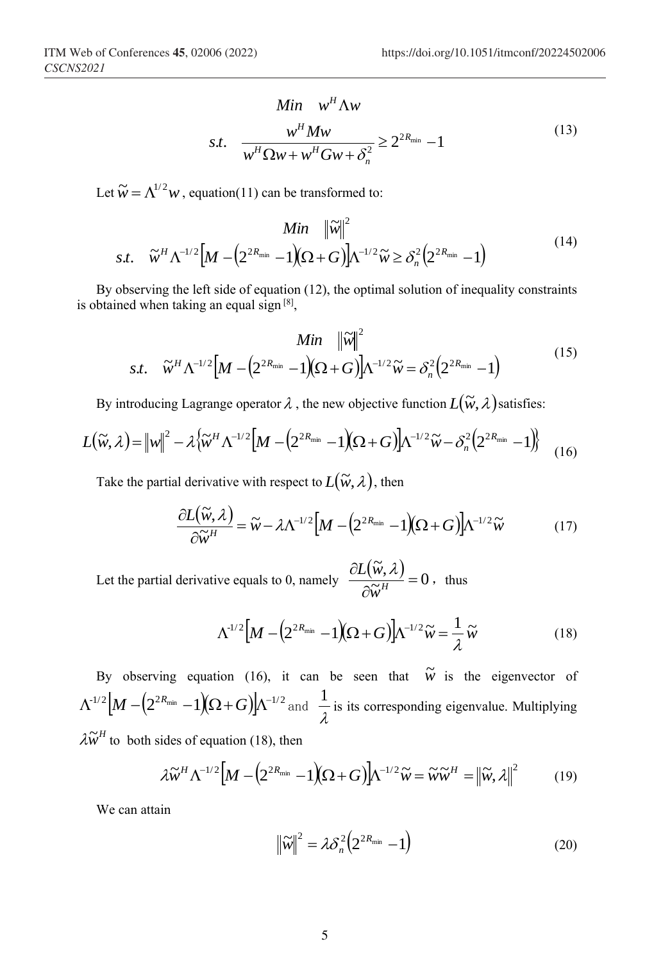$$
Min \t wH \Lambda w
$$
  
s.t. 
$$
\frac{wH M w}{wH \Omega w + wH G w + \deltan2} \ge 22R_{min} - 1
$$
 (13)

Let  $\widetilde{w} = \Lambda^{1/2} w$ , equation(11) can be transformed to:

$$
Min \quad \|\widetilde{w}\|^2
$$
  

$$
s.t. \quad \widetilde{w}^H \Lambda^{-1/2} \Big[ M - \Big( 2^{2R_{\min}} - 1 \Big) \Big( \Omega + G \Big) \Big] \Lambda^{-1/2} \widetilde{w} \ge \delta_n^{2} \Big( 2^{2R_{\min}} - 1 \Big)
$$
 (14)

*H*

By observing the left side of equation (12), the optimal solution of inequality constraints is obtained when taking an equal sign  $[8]$ ,

$$
Min \quad \|\widetilde{w}\|^2
$$
  
s.t.  $\widetilde{w}^H \Lambda^{-1/2} \Big[ M - \Big( 2^{2R_{\min}} - 1 \Big) (\Omega + G) \Big] \Lambda^{-1/2} \widetilde{w} = \delta_n^2 \Big( 2^{2R_{\min}} - 1 \Big)$  (15)

By introducing Lagrange operator  $\lambda$ , the new objective function  $L(\widetilde{w}, \lambda)$  satisfies:

$$
L(\widetilde{w},\lambda) = \left\|w\right\|^2 - \lambda \left\{\widetilde{w}^H \Lambda^{-1/2} \left[M - \left(2^{2R_{\min}} - 1\right)\left(\Omega + G\right)\right] \Lambda^{-1/2} \widetilde{w} - \delta_n^2 \left(2^{2R_{\min}} - 1\right)\right\}
$$
(16)

Take the partial derivative with respect to  $L(\widetilde{w}, \lambda)$ , then

$$
\frac{\partial L(\widetilde{w},\lambda)}{\partial \widetilde{w}^H} = \widetilde{w} - \lambda \Lambda^{-1/2} \Big[ M - \Big( 2^{2R_{\min}} - 1 \Big) \Big( \Omega + G \Big) \Big] \Lambda^{-1/2} \widetilde{w}
$$
(17)

Let the partial derivative equals to 0, namely  $\frac{\partial L(\widetilde{w}, \lambda)}{\partial \widetilde{w}^H} = 0$  $=$  $\partial$  $\partial$  $\widetilde{w}^H$  $\frac{L(\widetilde{w},\lambda)}{2\widetilde{w}}=0$ , thus

$$
\Lambda^{1/2}\left[M - \left(2^{2R_{\min}} - 1\right)\left(\Omega + G\right)\right]\Lambda^{-1/2}\widetilde{w} = \frac{1}{\lambda}\widetilde{w} \tag{18}
$$

By observing equation (16), it can be seen that  $\tilde{w}$  is the eigenvector of  $\Lambda^{\scriptscriptstyle{1/2}}|M\> -\> (2^{2R_{\rm min}}-1\rm)\Omega+G) |\Lambda^{\scriptscriptstyle{-1/2}}$  and λ  $\frac{1}{1}$  is its corresponding eigenvalue. Multiplying  $\lambda \widetilde{w}^H$  to both sides of equation (18), then

$$
\lambda \widetilde{\boldsymbol{w}}^H \Lambda^{-1/2} \Big[ M - \Big( 2^{2R_{\min}} - 1 \Big) (\Omega + G) \Big] \Lambda^{-1/2} \widetilde{\boldsymbol{w}} = \widetilde{\boldsymbol{w}} \widetilde{\boldsymbol{w}}^H = \Big\| \widetilde{\boldsymbol{w}}, \lambda \Big\|^2 \tag{19}
$$

We can attain

$$
\left\|\widetilde{w}\right\|^2 = \lambda \delta_n^2 \left(2^{2R_{\min}} - 1\right) \tag{20}
$$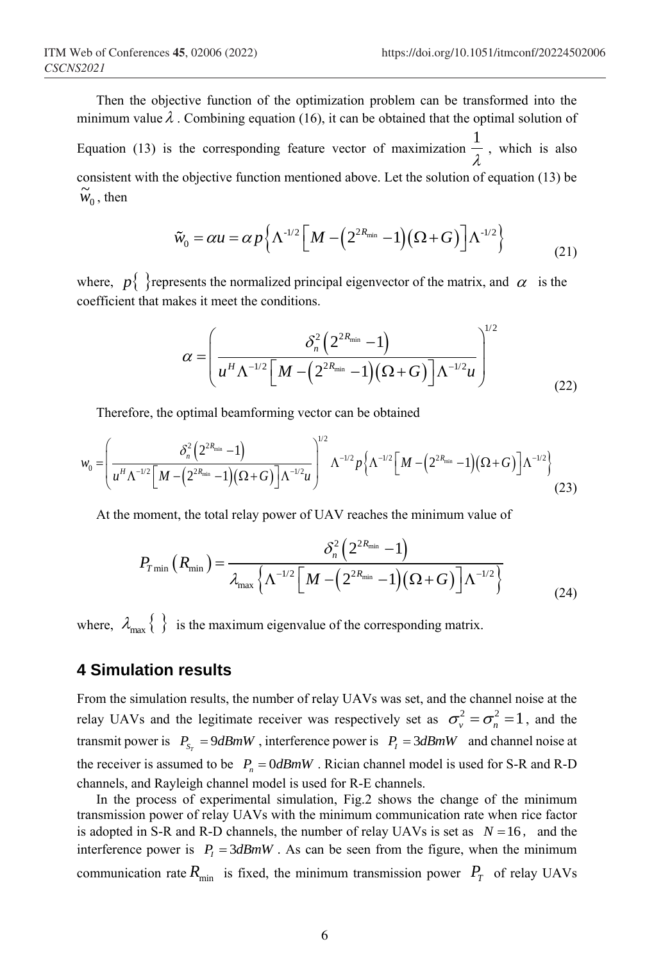Then the objective function of the optimization problem can be transformed into the minimum value  $\lambda$ . Combining equation (16), it can be obtained that the optimal solution of Equation (13) is the corresponding feature vector of maximization  $\frac{1}{\lambda}$  $\frac{1}{1}$ , which is also consistent with the objective function mentioned above. Let the solution of equation (13) be  $\widetilde{w}_0$ , then

$$
\tilde{w}_0 = \alpha u = \alpha p \left\{ \Lambda^{-1/2} \left[ M - \left( 2^{2R_{\min}} - 1 \right) \left( \Omega + G \right) \right] \Lambda^{-1/2} \right\}
$$
\n(21)

where,  $p\{\}$  represents the normalized principal eigenvector of the matrix, and  $\alpha$  is the coefficient that makes it meet the conditions.

$$
\alpha = \left(\frac{\delta_n^2 \left(2^{2R_{\min}} - 1\right)}{u^H \Lambda^{-1/2} \left[M - \left(2^{2R_{\min}} - 1\right) \left(\Omega + G\right)\right] \Lambda^{-1/2} u}\right)^{1/2}
$$
(22)

Therefore, the optimal beamforming vector can be obtained

Therefore, the optimal beamforming vector can be obtained  
\n
$$
w_0 = \left(\frac{\delta_n^2 \left(2^{2R_{\min}} - 1\right)}{u^H \Lambda^{-1/2} \left[M - \left(2^{2R_{\min}} - 1\right) \left(\Omega + G\right)\right] \Lambda^{-1/2} u}\right)^{1/2} \Lambda^{-1/2} p \left\{\Lambda^{-1/2} \left[M - \left(2^{2R_{\min}} - 1\right) \left(\Omega + G\right)\right] \Lambda^{-1/2}\right\}
$$
\n(23)

At the moment, the total relay power of UAV reaches the minimum value of  
\n
$$
P_{T\min} (R_{\min}) = \frac{\delta_n^2 (2^{2R_{\min}} - 1)}{\lambda_{\max} \left\{ \Lambda^{-1/2} \left[ M - \left( 2^{2R_{\min}} - 1 \right) (\Omega + G) \right] \Lambda^{-1/2} \right\}}
$$
\n(24)

where,  $\lambda_{\text{max}} \left\{ \begin{array}{c} \end{array} \right\}$  is the maximum eigenvalue of the corresponding matrix.

# **4 Simulation results**

From the simulation results, the number of relay UAVs was set, and the channel noise at the relay UAVs and the legitimate receiver was respectively set as  $\sigma_v^2 = \sigma_n^2 = 1$ , and the transmit power is  $P_{S_T} = 9dBmW$ , interference power is  $P_I = 3dBmW$  and channel noise at the receiver is assumed to be  $P_n = 0 \, dBmW$ . Rician channel model is used for S-R and R-D channels, and Rayleigh channel model is used for R-E channels.

In the process of experimental simulation, Fig.2 shows the change of the minimum transmission power of relay UAVs with the minimum communication rate when rice factor is adopted in S-R and R-D channels, the number of relay UAVs is set as  $N = 16$ , and the interference power is  $P_1 = 3dBmW$ . As can be seen from the figure, when the minimum communication rate  $R_{\text{min}}$  is fixed, the minimum transmission power  $P_T$  of relay UAVs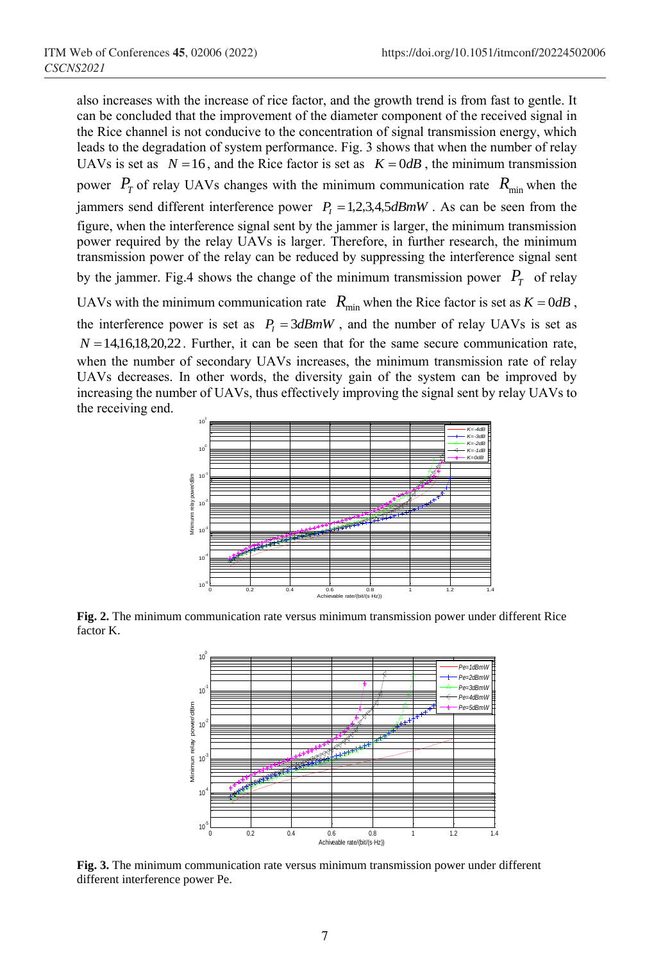also increases with the increase of rice factor, and the growth trend is from fast to gentle. It can be concluded that the improvement of the diameter component of the received signal in the Rice channel is not conducive to the concentration of signal transmission energy, which leads to the degradation of system performance. Fig. 3 shows that when the number of relay UAVs is set as  $N = 16$ , and the Rice factor is set as  $K = 0$ dB, the minimum transmission power  $P_T$  of relay UAVs changes with the minimum communication rate  $R_{min}$  when the jammers send different interference power  $P_1 = 1, 2, 3, 4, 5$  *dBmW*. As can be seen from the figure, when the interference signal sent by the jammer is larger, the minimum transmission power required by the relay UAVs is larger. Therefore, in further research, the minimum transmission power of the relay can be reduced by suppressing the interference signal sent by the jammer. Fig.4 shows the change of the minimum transmission power  $P_T$  of relay UAVs with the minimum communication rate  $R_{\min}$  when the Rice factor is set as  $K = 0dB$ , the interference power is set as  $P_1 = 3dBmW$ , and the number of relay UAVs is set as  $N = 14,16,18,20,22$ . Further, it can be seen that for the same secure communication rate, when the number of secondary UAVs increases, the minimum transmission rate of relay UAVs decreases. In other words, the diversity gain of the system can be improved by increasing the number of UAVs, thus effectively improving the signal sent by relay UAVs to the receiving end.



**Fig. 2.** The minimum communication rate versus minimum transmission power under different Rice factor K.



**Fig. 3.** The minimum communication rate versus minimum transmission power under different different interference power Pe.